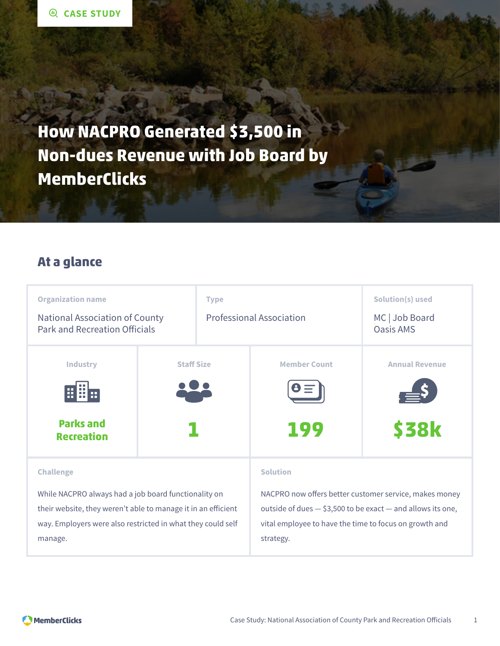**How NACPRO Generated \$3,500 in Non-dues Revenue with Job Board by MemberClicks**

### **At a glance**

| <b>Organization name</b><br><b>National Association of County</b><br><b>Park and Recreation Officials</b>                                                                                                           |                   | <b>Type</b><br><b>Professional Association</b> |                                                                                                                                                                                                                     | Solution(s) used<br>MC   Job Board<br>Oasis AMS |
|---------------------------------------------------------------------------------------------------------------------------------------------------------------------------------------------------------------------|-------------------|------------------------------------------------|---------------------------------------------------------------------------------------------------------------------------------------------------------------------------------------------------------------------|-------------------------------------------------|
| <b>Industry</b><br>HH<br><b>Parks and</b><br><b>Recreation</b>                                                                                                                                                      | <b>Staff Size</b> |                                                | <b>Member Count</b><br>199                                                                                                                                                                                          | <b>Annual Revenue</b><br><b>\$38k</b>           |
| <b>Challenge</b><br>While NACPRO always had a job board functionality on<br>their website, they weren't able to manage it in an efficient<br>way. Employers were also restricted in what they could self<br>manage. |                   |                                                | <b>Solution</b><br>NACPRO now offers better customer service, makes money<br>outside of dues $-$ \$3,500 to be exact $-$ and allows its one,<br>vital employee to have the time to focus on growth and<br>strategy. |                                                 |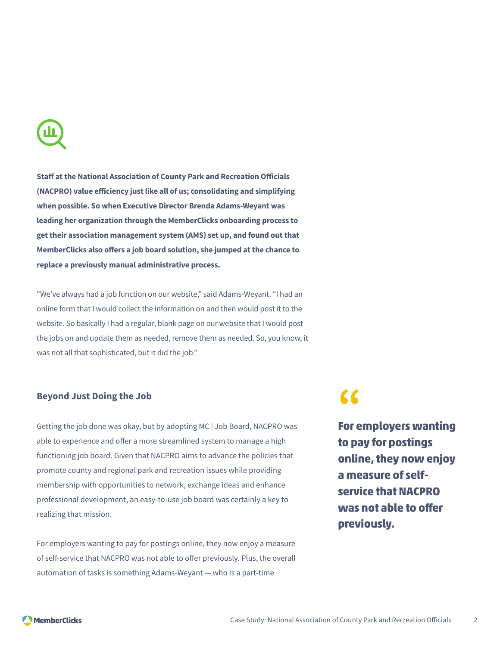

**Staff at the National Association of County Park and Recreation Officials (NACPRO) value efficiency just like all of us; consolidating and simplifying when possible. So when Executive Director Brenda Adams-Weyant was leading her organization through the MemberClicks onboarding process to get their association management system (AMS) set up, and found out that MemberClicks also offers a job board solution, she jumped at the chance to replace a previously manual administrative process.**

"We've always had a job function on our website," said Adams-Weyant. "I had an online form that I would collect the information on and then would post it to the website. So basically I had a regular, blank page on our website that I would post the jobs on and update them as needed, remove them as needed. So, you know, it was not all that sophisticated, but it did the job."

#### **Beyond Just Doing the Job**

Getting the job done was okay, but by adopting MC | Job Board, NACPRO was able to experience and offer a more streamlined system to manage a high functioning job board. Given that NACPRO aims to advance the policies that promote county and regional park and recreation issues while providing membership with opportunities to network, exchange ideas and enhance professional development, an easy-to-use job board was certainly a key to realizing that mission.

For employers wanting to pay for postings online, they now enjoy a measure of self-service that NACPRO was not able to offer previously. Plus, the overall automation of tasks is something Adams-Weyant — who is a part-time

# **"**

**For employers wanting to pay for postings online, they now enjoy a measure of selfservice that NACPRO was not able to offer previously.**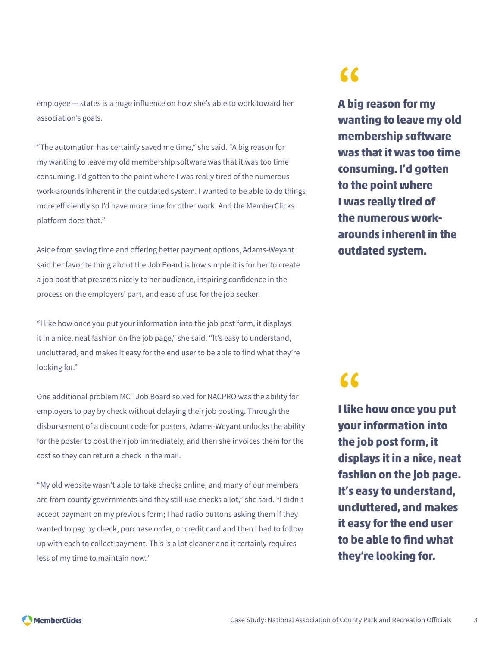employee — states is a huge influence on how she's able to work toward her association's goals.

"The automation has certainly saved me time," she said. "A big reason for my wanting to leave my old membership software was that it was too time consuming. I'd gotten to the point where I was really tired of the numerous work-arounds inherent in the outdated system. I wanted to be able to do things more efficiently so I'd have more time for other work. And the MemberClicks platform does that."

Aside from saving time and offering better payment options, Adams-Weyant said her favorite thing about the Job Board is how simple it is for her to create a job post that presents nicely to her audience, inspiring confidence in the process on the employers' part, and ease of use for the job seeker.

"I like how once you put your information into the job post form, it displays it in a nice, neat fashion on the job page," she said. "It's easy to understand, uncluttered, and makes it easy for the end user to be able to find what they're looking for."

One additional problem MC | Job Board solved for NACPRO was the ability for employers to pay by check without delaying their job posting. Through the disbursement of a discount code for posters, Adams-Weyant unlocks the ability for the poster to post their job immediately, and then she invoices them for the cost so they can return a check in the mail.

"My old website wasn't able to take checks online, and many of our members are from county governments and they still use checks a lot," she said. "I didn't accept payment on my previous form; I had radio buttons asking them if they wanted to pay by check, purchase order, or credit card and then I had to follow up with each to collect payment. This is a lot cleaner and it certainly requires less of my time to maintain now."

## **"**

**A big reason for my wanting to leave my old membership software was that it was too time consuming. I'd gotten to the point where I was really tired of the numerous workarounds inherent in the outdated system.**

# **"**

**I like how once you put your information into the job post form, it displays it in a nice, neat fashion on the job page. It's easy to understand, uncluttered, and makes it easy for the end user to be able to find what they're looking for.**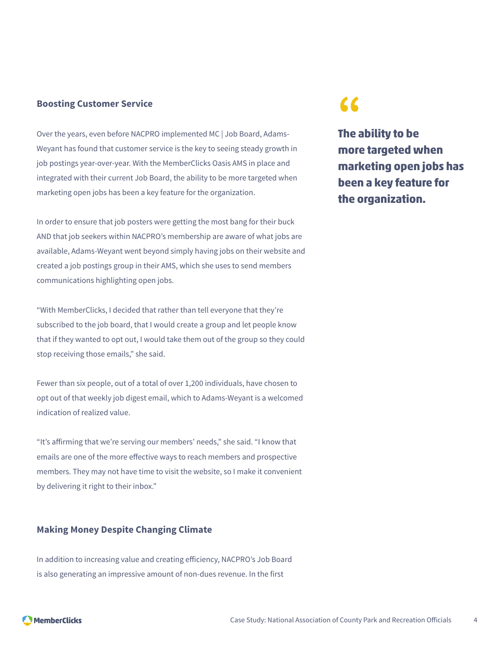#### **Boosting Customer Service**

Over the years, even before NACPRO implemented MC | Job Board, Adams-Weyant has found that customer service is the key to seeing steady growth in job postings year-over-year. With the MemberClicks Oasis AMS in place and integrated with their current Job Board, the ability to be more targeted when marketing open jobs has been a key feature for the organization.

In order to ensure that job posters were getting the most bang for their buck AND that job seekers within NACPRO's membership are aware of what jobs are available, Adams-Weyant went beyond simply having jobs on their website and created a job postings group in their AMS, which she uses to send members communications highlighting open jobs.

"With MemberClicks, I decided that rather than tell everyone that they're subscribed to the job board, that I would create a group and let people know that if they wanted to opt out, I would take them out of the group so they could stop receiving those emails," she said.

Fewer than six people, out of a total of over 1,200 individuals, have chosen to opt out of that weekly job digest email, which to Adams-Weyant is a welcomed indication of realized value.

"It's affirming that we're serving our members' needs," she said. "I know that emails are one of the more effective ways to reach members and prospective members. They may not have time to visit the website, so I make it convenient by delivering it right to their inbox."

#### **Making Money Despite Changing Climate**

In addition to increasing value and creating efficiency, NACPRO's Job Board is also generating an impressive amount of non-dues revenue. In the first

## **"**

**The ability to be more targeted when marketing open jobs has been a key feature for the organization.**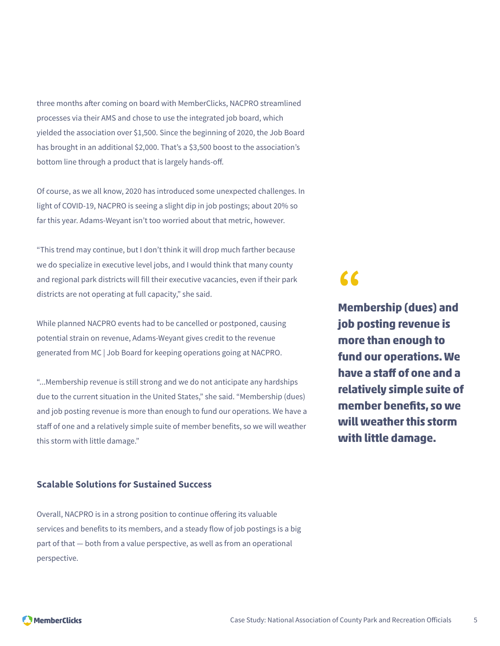three months after coming on board with MemberClicks, NACPRO streamlined processes via their AMS and chose to use the integrated job board, which yielded the association over \$1,500. Since the beginning of 2020, the Job Board has brought in an additional \$2,000. That's a \$3,500 boost to the association's bottom line through a product that is largely hands-off.

Of course, as we all know, 2020 has introduced some unexpected challenges. In light of COVID-19, NACPRO is seeing a slight dip in job postings; about 20% so far this year. Adams-Weyant isn't too worried about that metric, however.

"This trend may continue, but I don't think it will drop much farther because we do specialize in executive level jobs, and I would think that many county and regional park districts will fill their executive vacancies, even if their park districts are not operating at full capacity," she said.

While planned NACPRO events had to be cancelled or postponed, causing potential strain on revenue, Adams-Weyant gives credit to the revenue generated from MC | Job Board for keeping operations going at NACPRO.

"...Membership revenue is still strong and we do not anticipate any hardships due to the current situation in the United States," she said. "Membership (dues) and job posting revenue is more than enough to fund our operations. We have a staff of one and a relatively simple suite of member benefits, so we will weather this storm with little damage."

#### **Scalable Solutions for Sustained Success**

Overall, NACPRO is in a strong position to continue offering its valuable services and benefits to its members, and a steady flow of job postings is a big part of that — both from a value perspective, as well as from an operational perspective.

### **"**

**Membership (dues) and job posting revenue is more than enough to fund our operations. We have a staff of one and a relatively simple suite of member benefits, so we will weather this storm with little damage.**